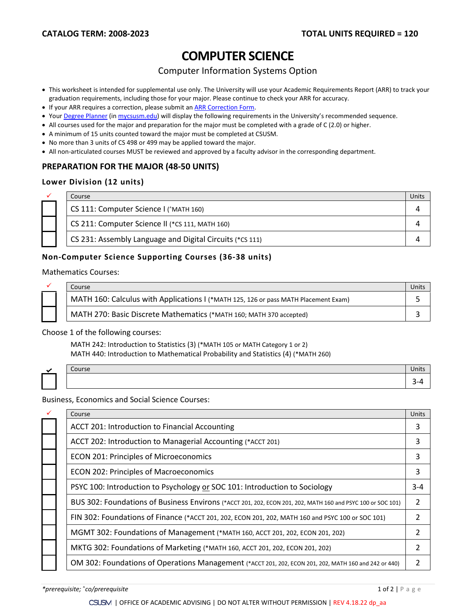# **COMPUTER SCIENCE**

# Computer Information Systems Option

- This worksheet is intended for supplemental use only. The University will use your Academic Requirements Report (ARR) to track your graduation requirements, including those for your major. Please continue to check your ARR for accuracy.
- If your ARR requires a correction, please submit an **[ARR Correction Form.](http://www.csusm.edu/academicadvising/arrcorrection/index.html)**
- You[r Degree Planner](https://www.csusm.edu/academicadvising/degreeplanner/index.html) (i[n mycsusm.edu\)](https://my.csusm.edu/) will display the following requirements in the University's recommended sequence.
- All courses used for the major and preparation for the major must be completed with a grade of C (2.0) or higher.
- A minimum of 15 units counted toward the major must be completed at CSUSM.
- No more than 3 units of CS 498 or 499 may be applied toward the major.
- All non-articulated courses MUST be reviewed and approved by a faculty advisor in the corresponding department.

### **PREPARATION FOR THE MAJOR (48-50 UNITS)**

#### **Lower Division (12 units)**

|  | Course                                                   |  |
|--|----------------------------------------------------------|--|
|  | CS 111: Computer Science I ('MATH 160)                   |  |
|  | CS 211: Computer Science II (*CS 111, MATH 160)          |  |
|  | CS 231: Assembly Language and Digital Circuits (*CS 111) |  |

### **Non-Computer Science Supporting Courses (36-38 units)**

Mathematics Courses:



|  | Course                                                                              | Units |
|--|-------------------------------------------------------------------------------------|-------|
|  | MATH 160: Calculus with Applications I (*MATH 125, 126 or pass MATH Placement Exam) |       |
|  | MATH 270: Basic Discrete Mathematics (*MATH 160; MATH 370 accepted)                 |       |

Course Units

#### Choose 1 of the following courses:

MATH 242: Introduction to Statistics (3) (\*MATH 105 or MATH Category 1 or 2) MATH 440: Introduction to Mathematical Probability and Statistics (4) (\*MATH 260)

Business, Economics and Social Science Courses:

|  | Course                                                                                                      | Units   |
|--|-------------------------------------------------------------------------------------------------------------|---------|
|  | ACCT 201: Introduction to Financial Accounting                                                              | 3       |
|  | ACCT 202: Introduction to Managerial Accounting (*ACCT 201)                                                 | 3       |
|  | <b>ECON 201: Principles of Microeconomics</b>                                                               | 3       |
|  | <b>ECON 202: Principles of Macroeconomics</b>                                                               | 3       |
|  | PSYC 100: Introduction to Psychology or SOC 101: Introduction to Sociology                                  | $3 - 4$ |
|  | BUS 302: Foundations of Business Environs (*ACCT 201, 202, ECON 201, 202, MATH 160 and PSYC 100 or SOC 101) | 2       |
|  | FIN 302: Foundations of Finance (*ACCT 201, 202, ECON 201, 202, MATH 160 and PSYC 100 or SOC 101)           |         |
|  | MGMT 302: Foundations of Management (*MATH 160, ACCT 201, 202, ECON 201, 202)                               |         |
|  | MKTG 302: Foundations of Marketing (*MATH 160, ACCT 201, 202, ECON 201, 202)                                |         |
|  | OM 302: Foundations of Operations Management (*ACCT 201, 202, ECON 201, 202, MATH 160 and 242 or 440)       |         |
|  |                                                                                                             |         |

3-4